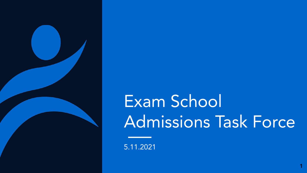

# Exam School Admissions Task Force

**1**

5.11.2021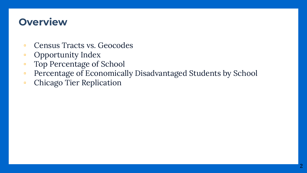### **Overview**

- Census Tracts vs. Geocodes
- Opportunity Index
- Top Percentage of School
- Percentage of Economically Disadvantaged Students by School
- Chicago Tier Replication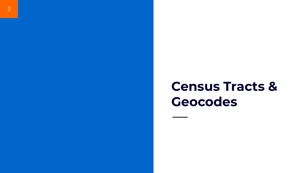# **Census Tracts & Geocodes**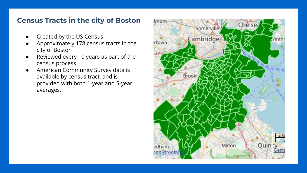#### **Census Tracts in the city of Boston**

- Created by the US Census
- Approximately 178 census tracts in the city of Boston
- Reviewed every 10 years as part of the census process
- American Community Survey data is available by census tract, and is provided with both 1-year and 5-year averages.

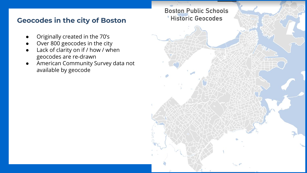#### **Geocodes in the city of Boston**

- Originally created in the 70's
- Over 800 geocodes in the city
- Lack of clarity on if / how / when geocodes are re-drawn
- American Community Survey data not available by geocode

**Boston Public Schools Historic Geocodes**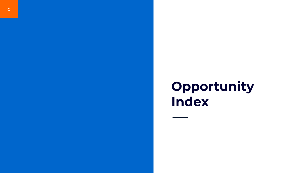# **Opportunity Index**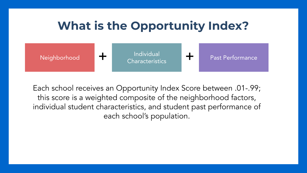## **What is the Opportunity Index?**



Each school receives an Opportunity Index Score between .01-.99; this score is a weighted composite of the neighborhood factors, individual student characteristics, and student past performance of each school's population.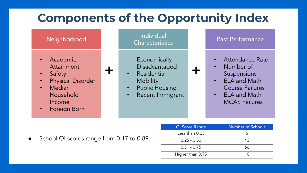

School OI scores range from 0.17 to 0.89.

| OI Score Range   | Number of Schools |  |
|------------------|-------------------|--|
| Less than 0.25   |                   |  |
| $0.25 - 0.50$    | 43                |  |
| $0.51 - 0.75$    | 66                |  |
| Higher than 0.75 | 1 በ               |  |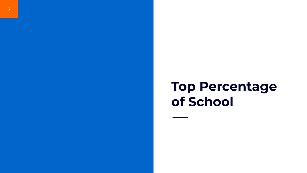# **Top Percentage of School**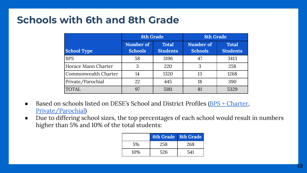### **Schools with 6th and 8th Grade**

|                      | <b>6th Grade</b> |                 | <b>8th Grade</b> |                 |
|----------------------|------------------|-----------------|------------------|-----------------|
|                      | Number of        | <b>Total</b>    | Number of        | <b>Total</b>    |
| <b>School Type</b>   | <b>Schools</b>   | <b>Students</b> | <b>Schools</b>   | <b>Students</b> |
| <b>BPS</b>           | 58               | 3196            | 47               | 3413            |
| Horace Mann Charter  | 3                | 220             | 3                | 258             |
| Commonwealth Charter | 14               | 1320            | 13               | 1268            |
| Private/Parochial    | 22               | 445             | 18               | 390             |
| <b>TOTAL</b>         | 97               | 5181            | 81               | 5329            |

- Based on schools listed on DESE's School and District Profiles [\(BPS + Charter](https://profiles.doe.mass.edu/statereport/enrollmentbygrade.aspx), [Private/Parochial](https://profiles.doe.mass.edu/statereport/nonpublicschoolreport.aspx))
- Due to differing school sizes, the top percentages of each school would result in numbers higher than 5% and 10% of the total students:

|     | 6th Grade 8th Grade |     |
|-----|---------------------|-----|
| 5%  | 258                 | 268 |
| 10% | 526                 | 541 |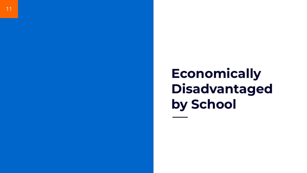**Economically Disadvantaged by School**

11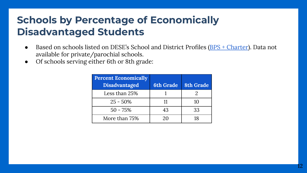### **Schools by Percentage of Economically Disadvantaged Students**

- Based on schools listed on DESE's School and District Profiles [\(BPS + Charter](https://profiles.doe.mass.edu/statereport/selectedpopulations.aspx)). Data not available for private/parochial schools.
- Of schools serving either 6th or 8th grade:

| <b>Percent Economically</b> |                  |                  |
|-----------------------------|------------------|------------------|
| <b>Disadvantaged</b>        | <b>6th Grade</b> | <b>8th Grade</b> |
| Less than 25%               |                  |                  |
| $25 - 50%$                  |                  | 10               |
| $50 - 75%$                  | 43               | 33               |
| More than 75%               | 20               |                  |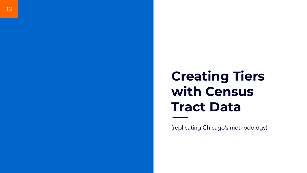# **Creating Tiers with Census Tract Data**

(replicating Chicago's methodology)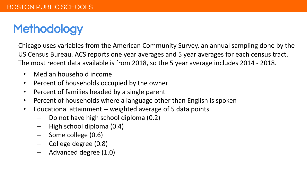# **Methodology**

Chicago uses variables from the American Community Survey, an annual sampling done by the US Census Bureau. ACS reports one year averages and 5 year averages for each census tract. The most recent data available is from 2018, so the 5 year average includes 2014 - 2018.

- Median household income
- Percent of households occupied by the owner
- Percent of families headed by a single parent
- Percent of households where a language other than English is spoken
- Educational attainment -- weighted average of 5 data points
	- Do not have high school diploma (0.2)
	- High school diploma (0.4)
	- Some college (0.6)
	- College degree (0.8)
	- Advanced degree (1.0)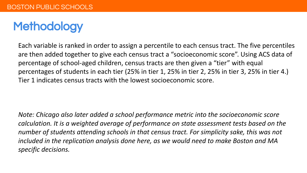# **Methodology**

Each variable is ranked in order to assign a percentile to each census tract. The five percentiles are then added together to give each census tract a "socioeconomic score". Using ACS data of percentage of school-aged children, census tracts are then given a "tier" with equal percentages of students in each tier (25% in tier 1, 25% in tier 2, 25% in tier 3, 25% in tier 4.) Tier 1 indicates census tracts with the lowest socioeconomic score.

*Note: Chicago also later added a school performance metric into the socioeconomic score calculation. It is a weighted average of performance on state assessment tests based on the number of students attending schools in that census tract. For simplicity sake, this was not included in the replication analysis done here, as we would need to make Boston and MA specific decisions.*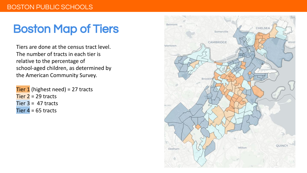# Boston Map of Tiers

Tiers are done at the census tract level. The number of tracts in each tier is relative to the percentage of school-aged children, as determined by the American Community Survey.

Tier  $1$  (highest need) = 27 tracts Tier  $2 = 29$  tracts Tier  $3 = 47$  tracts Tier  $4 = 65$  tracts

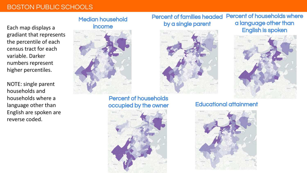#### BOSTON PUBLIC SCHOOLS

Each map displays a gradiant that represents the percentile of each census tract for each variable. Darker numbers represent higher percentiles.

NOTE: single parent households and households where a language other than English are spoken are reverse coded.

#### Median household income



Percent of households occupied by the owner



#### Percent of families headed by a single parent Percent of households where a language other than



English is spoken



#### Educational attainment

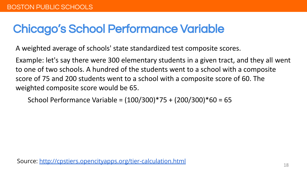### Chicago's School Performance Variable

A weighted average of schools' state standardized test composite scores.

Example: let's say there were 300 elementary students in a given tract, and they all went to one of two schools. A hundred of the students went to a school with a composite score of 75 and 200 students went to a school with a composite score of 60. The weighted composite score would be 65.

School Performance Variable = (100/300)\*75 + (200/300)\*60 = 65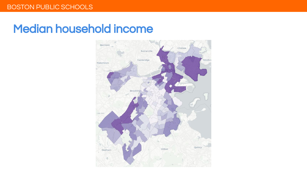### Median household income

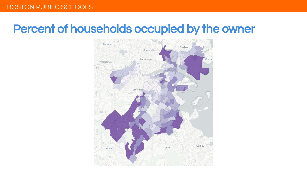### Percent of households occupied by the owner

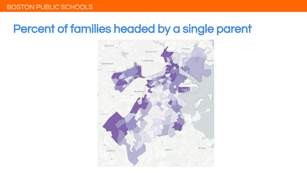### Percent of families headed by a single parent

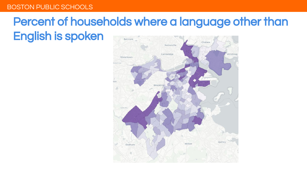#### BOSTON PUBLIC SCHOOLS

#### Percent of households where a language other than English is spokenBelmont Chelsea